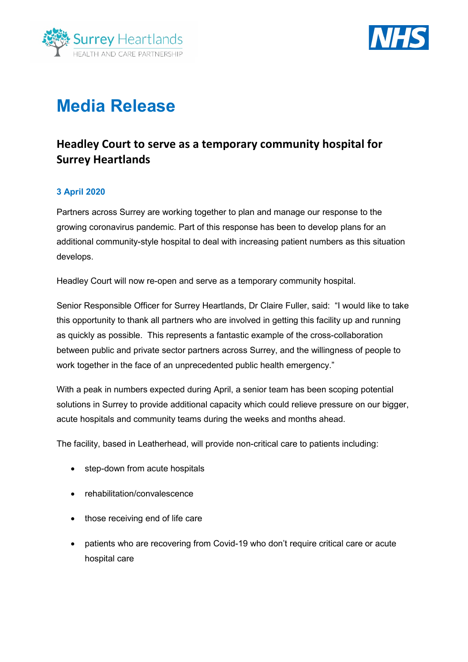



# **Media Release**

## **Headley Court to serve as a temporary community hospital for Surrey Heartlands**

#### **3 April 2020**

Partners across Surrey are working together to plan and manage our response to the growing coronavirus pandemic. Part of this response has been to develop plans for an additional community-style hospital to deal with increasing patient numbers as this situation develops.

Headley Court will now re-open and serve as a temporary community hospital.

Senior Responsible Officer for Surrey Heartlands, Dr Claire Fuller, said: "I would like to take this opportunity to thank all partners who are involved in getting this facility up and running as quickly as possible. This represents a fantastic example of the cross-collaboration between public and private sector partners across Surrey, and the willingness of people to work together in the face of an unprecedented public health emergency."

With a peak in numbers expected during April, a senior team has been scoping potential solutions in Surrey to provide additional capacity which could relieve pressure on our bigger, acute hospitals and community teams during the weeks and months ahead.

The facility, based in Leatherhead, will provide non-critical care to patients including:

- step-down from acute hospitals
- rehabilitation/convalescence
- those receiving end of life care
- patients who are recovering from Covid-19 who don't require critical care or acute hospital care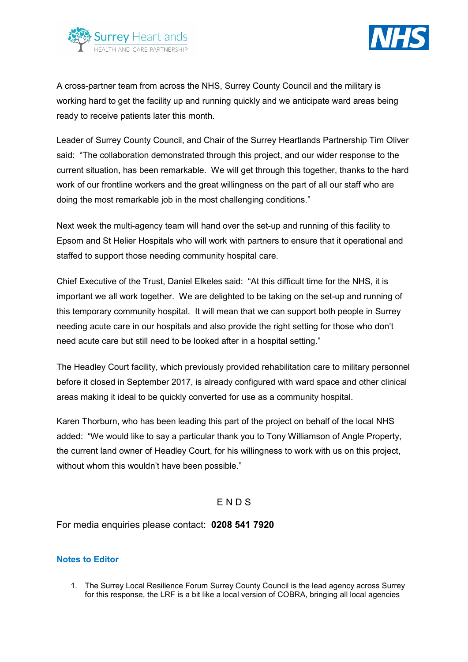



A cross-partner team from across the NHS, Surrey County Council and the military is working hard to get the facility up and running quickly and we anticipate ward areas being ready to receive patients later this month.

Leader of Surrey County Council, and Chair of the Surrey Heartlands Partnership Tim Oliver said: "The collaboration demonstrated through this project, and our wider response to the current situation, has been remarkable. We will get through this together, thanks to the hard work of our frontline workers and the great willingness on the part of all our staff who are doing the most remarkable job in the most challenging conditions."

Next week the multi-agency team will hand over the set-up and running of this facility to Epsom and St Helier Hospitals who will work with partners to ensure that it operational and staffed to support those needing community hospital care.

Chief Executive of the Trust, Daniel Elkeles said: "At this difficult time for the NHS, it is important we all work together. We are delighted to be taking on the set-up and running of this temporary community hospital. It will mean that we can support both people in Surrey needing acute care in our hospitals and also provide the right setting for those who don't need acute care but still need to be looked after in a hospital setting."

The Headley Court facility, which previously provided rehabilitation care to military personnel before it closed in September 2017, is already configured with ward space and other clinical areas making it ideal to be quickly converted for use as a community hospital.

Karen Thorburn, who has been leading this part of the project on behalf of the local NHS added: "We would like to say a particular thank you to Tony Williamson of Angle Property, the current land owner of Headley Court, for his willingness to work with us on this project, without whom this wouldn't have been possible."

### E N D S

For media enquiries please contact: **0208 541 7920**

#### **Notes to Editor**

1. The Surrey Local Resilience Forum Surrey County Council is the lead agency across Surrey for this response, the LRF is a bit like a local version of COBRA, bringing all local agencies